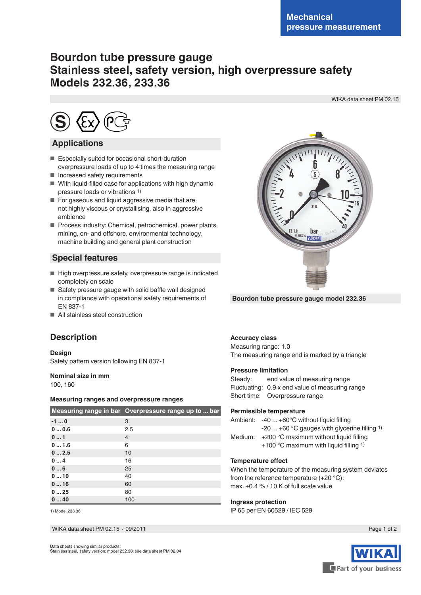# **Bourdon tube pressure gauge Stainless steel, safety version, high overpressure safety Models 232.36, 233.36**

WIKA data sheet PM 02.15



## **Applications**

- Especially suited for occasional short-duration overpressure loads of up to 4 times the measuring range
- Increased safety requirements
- With liquid-filled case for applications with high dynamic pressure loads or vibrations 1)
- For gaseous and liquid aggressive media that are not highly viscous or crystallising, also in aggressive ambience
- Process industry: Chemical, petrochemical, power plants, mining, on- and offshore, environmental technology, machine building and general plant construction

## **Special features**

- High overpressure safety, overpressure range is indicated completely on scale
- Safety pressure gauge with solid baffle wall designed in compliance with operational safety requirements of EN 837-1
- All stainless steel construction

## **Description**

### **Design**

Safety pattern version following EN 837-1

### **Nominal size in mm**

100, 160

### **Measuring ranges and overpressure ranges**

|       | Measuring range in bar Overpressure range up to  bar |
|-------|------------------------------------------------------|
| $-10$ | 3                                                    |
| 00.6  | 2.5                                                  |
| 01    | $\overline{4}$                                       |
| 01.6  | 6                                                    |
| 02.5  | 10                                                   |
| 04    | 16                                                   |
| 06    | 25                                                   |
| 010   | 40                                                   |
| 016   | 60                                                   |
| 025   | 80                                                   |
| 040   | 100                                                  |

WIKA data sheet PM 02.15 ⋅ 09/2011 Page 1 of 2

Data sheets showing similar products: Stainless steel, safety version; model 232.30; see data sheet PM 02.04



**Bourdon tube pressure gauge model 232.36**

## **Accuracy class**

Measuring range: 1.0 The measuring range end is marked by a triangle

### **Pressure limitation**

Steady: end value of measuring range Fluctuating: 0.9 x end value of measuring range Short time: Overpressure range

## **Permissible temperature**

Ambient: -40 ... +60°C without liquid filling -20 ... +60 °C gauges with glycerine filling 1) Medium: +200 °C maximum without liquid filling +100 °C maximum with liquid filling  $1$ )

### **Temperature effect**

When the temperature of the measuring system deviates from the reference temperature (+20 °C): max. ±0.4 % / 10 K of full scale value

### **Ingress protection**

1) Model 233.36 IP 65 per EN 60529 / lEC 529